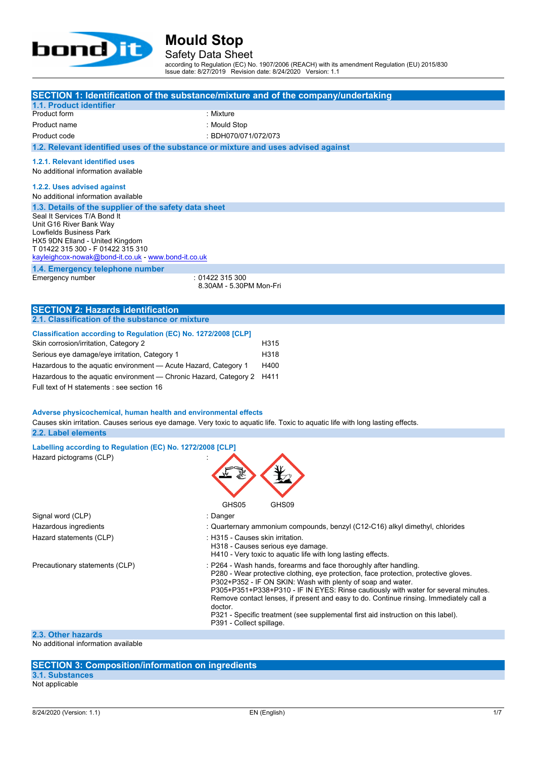

Safety Data Sheet

according to Regulation (EC) No. 1907/2006 (REACH) with its amendment Regulation (EU) 2015/830 Issue date: 8/27/2019 Revision date: 8/24/2020 Version: 1.1

| 1.1. Product identifier                                                                                                                                                                                                                                                                                                                         | SECTION 1: Identification of the substance/mixture and of the company/undertaking                                                                                                                                                                                                                                                                                                                                                                                                                                                    |  |  |  |  |  |
|-------------------------------------------------------------------------------------------------------------------------------------------------------------------------------------------------------------------------------------------------------------------------------------------------------------------------------------------------|--------------------------------------------------------------------------------------------------------------------------------------------------------------------------------------------------------------------------------------------------------------------------------------------------------------------------------------------------------------------------------------------------------------------------------------------------------------------------------------------------------------------------------------|--|--|--|--|--|
| Product form                                                                                                                                                                                                                                                                                                                                    | : Mixture                                                                                                                                                                                                                                                                                                                                                                                                                                                                                                                            |  |  |  |  |  |
| Product name                                                                                                                                                                                                                                                                                                                                    | : Mould Stop                                                                                                                                                                                                                                                                                                                                                                                                                                                                                                                         |  |  |  |  |  |
| Product code                                                                                                                                                                                                                                                                                                                                    | : BDH070/071/072/073                                                                                                                                                                                                                                                                                                                                                                                                                                                                                                                 |  |  |  |  |  |
| 1.2. Relevant identified uses of the substance or mixture and uses advised against                                                                                                                                                                                                                                                              |                                                                                                                                                                                                                                                                                                                                                                                                                                                                                                                                      |  |  |  |  |  |
| 1.2.1. Relevant identified uses<br>No additional information available                                                                                                                                                                                                                                                                          |                                                                                                                                                                                                                                                                                                                                                                                                                                                                                                                                      |  |  |  |  |  |
| 1.2.2. Uses advised against<br>No additional information available                                                                                                                                                                                                                                                                              |                                                                                                                                                                                                                                                                                                                                                                                                                                                                                                                                      |  |  |  |  |  |
| 1.3. Details of the supplier of the safety data sheet<br>Seal It Services T/A Bond It<br>Unit G16 River Bank Way<br>Lowfields Business Park<br>HX5 9DN Elland - United Kingdom<br>T 01422 315 300 - F 01422 315 310<br>kayleighcox-nowak@bond-it.co.uk - www.bond-it.co.uk                                                                      |                                                                                                                                                                                                                                                                                                                                                                                                                                                                                                                                      |  |  |  |  |  |
| 1.4. Emergency telephone number<br>Emergency number                                                                                                                                                                                                                                                                                             | : 01422 315 300<br>8.30AM - 5.30PM Mon-Fri                                                                                                                                                                                                                                                                                                                                                                                                                                                                                           |  |  |  |  |  |
| <b>SECTION 2: Hazards identification</b>                                                                                                                                                                                                                                                                                                        |                                                                                                                                                                                                                                                                                                                                                                                                                                                                                                                                      |  |  |  |  |  |
| 2.1. Classification of the substance or mixture                                                                                                                                                                                                                                                                                                 |                                                                                                                                                                                                                                                                                                                                                                                                                                                                                                                                      |  |  |  |  |  |
| Classification according to Regulation (EC) No. 1272/2008 [CLP]<br>Skin corrosion/irritation, Category 2<br>Serious eye damage/eye irritation, Category 1<br>Hazardous to the aquatic environment - Acute Hazard, Category 1<br>Hazardous to the aquatic environment - Chronic Hazard, Category 2<br>Full text of H statements : see section 16 | H315<br>H318<br>H400<br>H411                                                                                                                                                                                                                                                                                                                                                                                                                                                                                                         |  |  |  |  |  |
| Adverse physicochemical, human health and environmental effects                                                                                                                                                                                                                                                                                 | Causes skin irritation. Causes serious eye damage. Very toxic to aquatic life. Toxic to aquatic life with long lasting effects.                                                                                                                                                                                                                                                                                                                                                                                                      |  |  |  |  |  |
| 2.2. Label elements                                                                                                                                                                                                                                                                                                                             |                                                                                                                                                                                                                                                                                                                                                                                                                                                                                                                                      |  |  |  |  |  |
| Labelling according to Regulation (EC) No. 1272/2008 [CLP]<br>Hazard pictograms (CLP)                                                                                                                                                                                                                                                           |                                                                                                                                                                                                                                                                                                                                                                                                                                                                                                                                      |  |  |  |  |  |
|                                                                                                                                                                                                                                                                                                                                                 | GHS05<br>GHS09                                                                                                                                                                                                                                                                                                                                                                                                                                                                                                                       |  |  |  |  |  |
| Signal word (CLP)                                                                                                                                                                                                                                                                                                                               | : Danger                                                                                                                                                                                                                                                                                                                                                                                                                                                                                                                             |  |  |  |  |  |
| Hazardous ingredients                                                                                                                                                                                                                                                                                                                           | : Quarternary ammonium compounds, benzyl (C12-C16) alkyl dimethyl, chlorides                                                                                                                                                                                                                                                                                                                                                                                                                                                         |  |  |  |  |  |
| Hazard statements (CLP)                                                                                                                                                                                                                                                                                                                         | :H315 - Causes skin irritation.<br>H318 - Causes serious eye damage.<br>H410 - Very toxic to aquatic life with long lasting effects.                                                                                                                                                                                                                                                                                                                                                                                                 |  |  |  |  |  |
| Precautionary statements (CLP)                                                                                                                                                                                                                                                                                                                  | : P264 - Wash hands, forearms and face thoroughly after handling.<br>P280 - Wear protective clothing, eye protection, face protection, protective gloves.<br>P302+P352 - IF ON SKIN: Wash with plenty of soap and water.<br>P305+P351+P338+P310 - IF IN EYES: Rinse cautiously with water for several minutes.<br>Remove contact lenses, if present and easy to do. Continue rinsing. Immediately call a<br>doctor.<br>P321 - Specific treatment (see supplemental first aid instruction on this label).<br>P391 - Collect spillage. |  |  |  |  |  |

## **2.3. Other hazards**

No additional information available

### **SECTION 3: Composition/information on ingredients**

**3.1. Substances** Not applicable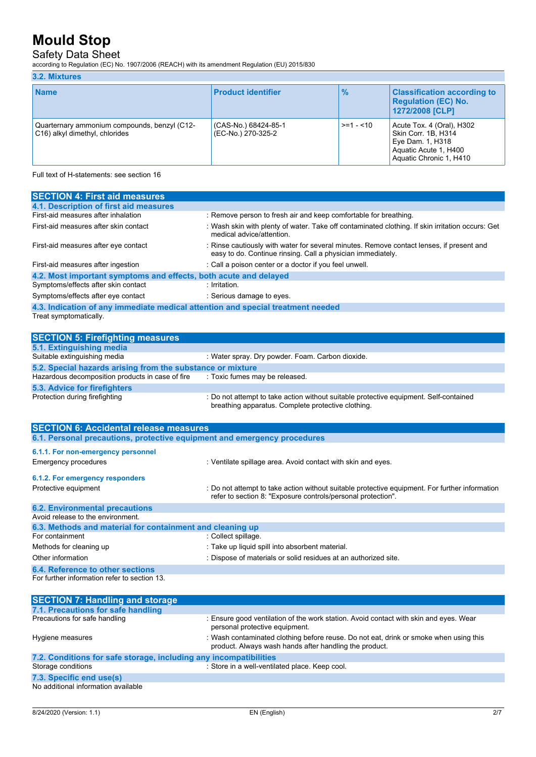## Safety Data Sheet

according to Regulation (EC) No. 1907/2006 (REACH) with its amendment Regulation (EU) 2015/830

### **3.2. Mixtures**

| <b>Name</b>                                                                    | <b>Product identifier</b>                  | $\frac{9}{6}$ | <b>Classification according to</b><br><b>Regulation (EC) No.</b><br>1272/2008 [CLP]                                      |
|--------------------------------------------------------------------------------|--------------------------------------------|---------------|--------------------------------------------------------------------------------------------------------------------------|
| Quarternary ammonium compounds, benzyl (C12-<br>C16) alkyl dimethyl, chlorides | (CAS-No.) 68424-85-1<br>(EC-No.) 270-325-2 | $>= 1 - 10$   | Acute Tox. 4 (Oral), H302<br>Skin Corr. 1B. H314<br>Eye Dam. 1, H318<br>Aquatic Acute 1, H400<br>Aquatic Chronic 1, H410 |

Full text of H-statements: see section 16

| 4.1. Description of first aid measures<br>First-aid measures after inhalation<br>: Remove person to fresh air and keep comfortable for breathing.<br>: Wash skin with plenty of water. Take off contaminated clothing. If skin irritation occurs: Get<br>medical advice/attention.<br>: Rinse cautiously with water for several minutes. Remove contact lenses, if present and<br>easy to do. Continue rinsing. Call a physician immediately.<br>: Call a poison center or a doctor if you feel unwell.<br>4.2. Most important symptoms and effects, both acute and delayed<br>: Irritation.<br>: Serious damage to eyes.<br>4.3. Indication of any immediate medical attention and special treatment needed<br>: Water spray. Dry powder. Foam. Carbon dioxide.<br>5.2. Special hazards arising from the substance or mixture<br>: Toxic fumes may be released.<br>: Do not attempt to take action without suitable protective equipment. Self-contained<br>breathing apparatus. Complete protective clothing. |                                                  |  |  |  |  |
|-----------------------------------------------------------------------------------------------------------------------------------------------------------------------------------------------------------------------------------------------------------------------------------------------------------------------------------------------------------------------------------------------------------------------------------------------------------------------------------------------------------------------------------------------------------------------------------------------------------------------------------------------------------------------------------------------------------------------------------------------------------------------------------------------------------------------------------------------------------------------------------------------------------------------------------------------------------------------------------------------------------------|--------------------------------------------------|--|--|--|--|
|                                                                                                                                                                                                                                                                                                                                                                                                                                                                                                                                                                                                                                                                                                                                                                                                                                                                                                                                                                                                                 | <b>SECTION 4: First aid measures</b>             |  |  |  |  |
|                                                                                                                                                                                                                                                                                                                                                                                                                                                                                                                                                                                                                                                                                                                                                                                                                                                                                                                                                                                                                 |                                                  |  |  |  |  |
|                                                                                                                                                                                                                                                                                                                                                                                                                                                                                                                                                                                                                                                                                                                                                                                                                                                                                                                                                                                                                 |                                                  |  |  |  |  |
|                                                                                                                                                                                                                                                                                                                                                                                                                                                                                                                                                                                                                                                                                                                                                                                                                                                                                                                                                                                                                 | First-aid measures after skin contact            |  |  |  |  |
|                                                                                                                                                                                                                                                                                                                                                                                                                                                                                                                                                                                                                                                                                                                                                                                                                                                                                                                                                                                                                 | First-aid measures after eye contact             |  |  |  |  |
|                                                                                                                                                                                                                                                                                                                                                                                                                                                                                                                                                                                                                                                                                                                                                                                                                                                                                                                                                                                                                 | First-aid measures after ingestion               |  |  |  |  |
|                                                                                                                                                                                                                                                                                                                                                                                                                                                                                                                                                                                                                                                                                                                                                                                                                                                                                                                                                                                                                 |                                                  |  |  |  |  |
|                                                                                                                                                                                                                                                                                                                                                                                                                                                                                                                                                                                                                                                                                                                                                                                                                                                                                                                                                                                                                 | Symptoms/effects after skin contact              |  |  |  |  |
|                                                                                                                                                                                                                                                                                                                                                                                                                                                                                                                                                                                                                                                                                                                                                                                                                                                                                                                                                                                                                 | Symptoms/effects after eye contact               |  |  |  |  |
|                                                                                                                                                                                                                                                                                                                                                                                                                                                                                                                                                                                                                                                                                                                                                                                                                                                                                                                                                                                                                 |                                                  |  |  |  |  |
|                                                                                                                                                                                                                                                                                                                                                                                                                                                                                                                                                                                                                                                                                                                                                                                                                                                                                                                                                                                                                 | Treat symptomatically.                           |  |  |  |  |
|                                                                                                                                                                                                                                                                                                                                                                                                                                                                                                                                                                                                                                                                                                                                                                                                                                                                                                                                                                                                                 |                                                  |  |  |  |  |
|                                                                                                                                                                                                                                                                                                                                                                                                                                                                                                                                                                                                                                                                                                                                                                                                                                                                                                                                                                                                                 | <b>SECTION 5: Firefighting measures</b>          |  |  |  |  |
|                                                                                                                                                                                                                                                                                                                                                                                                                                                                                                                                                                                                                                                                                                                                                                                                                                                                                                                                                                                                                 | 5.1. Extinguishing media                         |  |  |  |  |
|                                                                                                                                                                                                                                                                                                                                                                                                                                                                                                                                                                                                                                                                                                                                                                                                                                                                                                                                                                                                                 | Suitable extinguishing media                     |  |  |  |  |
|                                                                                                                                                                                                                                                                                                                                                                                                                                                                                                                                                                                                                                                                                                                                                                                                                                                                                                                                                                                                                 |                                                  |  |  |  |  |
|                                                                                                                                                                                                                                                                                                                                                                                                                                                                                                                                                                                                                                                                                                                                                                                                                                                                                                                                                                                                                 | Hazardous decomposition products in case of fire |  |  |  |  |
|                                                                                                                                                                                                                                                                                                                                                                                                                                                                                                                                                                                                                                                                                                                                                                                                                                                                                                                                                                                                                 | 5.3. Advice for firefighters                     |  |  |  |  |
|                                                                                                                                                                                                                                                                                                                                                                                                                                                                                                                                                                                                                                                                                                                                                                                                                                                                                                                                                                                                                 | Protection during firefighting                   |  |  |  |  |
| CECTION C. Acaidemial valorge measures                                                                                                                                                                                                                                                                                                                                                                                                                                                                                                                                                                                                                                                                                                                                                                                                                                                                                                                                                                          |                                                  |  |  |  |  |

| <b>SECTION 6: Accidental release measures</b>                            |                                                                                                                                                                |  |  |  |
|--------------------------------------------------------------------------|----------------------------------------------------------------------------------------------------------------------------------------------------------------|--|--|--|
| 6.1. Personal precautions, protective equipment and emergency procedures |                                                                                                                                                                |  |  |  |
| 6.1.1. For non-emergency personnel                                       |                                                                                                                                                                |  |  |  |
| Emergency procedures                                                     | : Ventilate spillage area. Avoid contact with skin and eyes.                                                                                                   |  |  |  |
| 6.1.2. For emergency responders                                          |                                                                                                                                                                |  |  |  |
| Protective equipment                                                     | : Do not attempt to take action without suitable protective equipment. For further information<br>refer to section 8: "Exposure controls/personal protection". |  |  |  |
| <b>6.2. Environmental precautions</b>                                    |                                                                                                                                                                |  |  |  |
| Avoid release to the environment.                                        |                                                                                                                                                                |  |  |  |
| 6.3. Methods and material for containment and cleaning up                |                                                                                                                                                                |  |  |  |
| For containment                                                          | : Collect spillage.                                                                                                                                            |  |  |  |
| Methods for cleaning up                                                  | : Take up liquid spill into absorbent material.                                                                                                                |  |  |  |
| Other information                                                        | : Dispose of materials or solid residues at an authorized site.                                                                                                |  |  |  |
| 6.4. Reference to other sections                                         |                                                                                                                                                                |  |  |  |
| For further information refer to section 13.                             |                                                                                                                                                                |  |  |  |

| <b>SECTION 7: Handling and storage</b>                                                                                                                                                                                           |                                                                                                                                                 |  |  |  |  |
|----------------------------------------------------------------------------------------------------------------------------------------------------------------------------------------------------------------------------------|-------------------------------------------------------------------------------------------------------------------------------------------------|--|--|--|--|
| 7.1. Precautions for safe handling                                                                                                                                                                                               |                                                                                                                                                 |  |  |  |  |
| Precautions for safe handling                                                                                                                                                                                                    | : Ensure good ventilation of the work station. Avoid contact with skin and eyes. Wear<br>personal protective equipment.                         |  |  |  |  |
| Hygiene measures                                                                                                                                                                                                                 | : Wash contaminated clothing before reuse. Do not eat, drink or smoke when using this<br>product. Always wash hands after handling the product. |  |  |  |  |
| 7.2. Conditions for safe storage, including any incompatibilities                                                                                                                                                                |                                                                                                                                                 |  |  |  |  |
| Storage conditions                                                                                                                                                                                                               | : Store in a well-ventilated place. Keep cool.                                                                                                  |  |  |  |  |
| 7.3. Specific end use(s)                                                                                                                                                                                                         |                                                                                                                                                 |  |  |  |  |
| $\mathbf{r}$ , and the set of the set of the set of the set of the set of the set of the set of the set of the set of the set of the set of the set of the set of the set of the set of the set of the set of the set of the set |                                                                                                                                                 |  |  |  |  |

No additional information available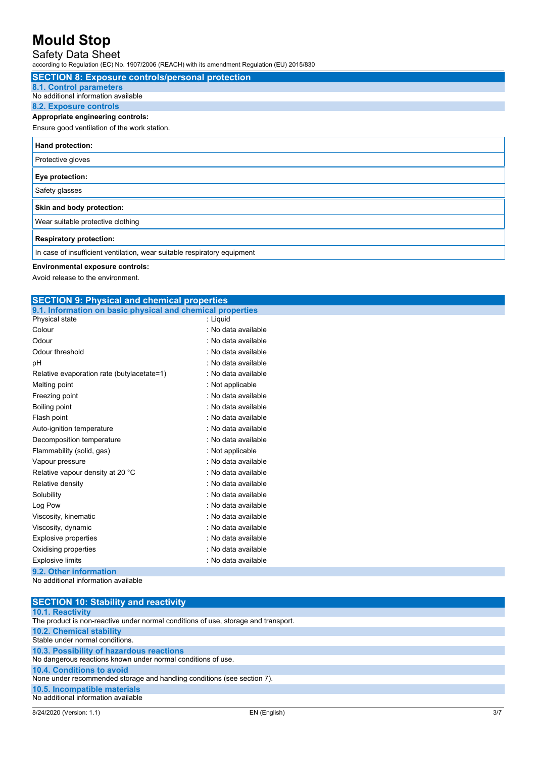### Safety Data Sheet

according to Regulation (EC) No. 1907/2006 (REACH) with its amendment Regulation (EU) 2015/830

| <b>SECTION 8: Exposure controls/personal protection</b>                  |
|--------------------------------------------------------------------------|
| <b>8.1. Control parameters</b>                                           |
| No additional information available                                      |
| <b>8.2. Exposure controls</b>                                            |
| Appropriate engineering controls:                                        |
| Ensure good ventilation of the work station.                             |
| Hand protection:                                                         |
| Protective gloves                                                        |
| Eye protection:                                                          |
| Safety glasses                                                           |
| Skin and body protection:                                                |
| Wear suitable protective clothing                                        |
| <b>Respiratory protection:</b>                                           |
| In case of insufficient ventilation, wear suitable respiratory equipment |

### **Environmental exposure controls:**

Avoid release to the environment.

#### **SECTION 9: Physical and chemical properties 9.1. Information on basic physical and chemical properties**

| <b>1. INTO MIGNOT ON DASIC PHYSICAL AND CHEMICAL PLOPELIES</b> |                     |
|----------------------------------------------------------------|---------------------|
| Physical state                                                 | : Liguid            |
| Colour                                                         | : No data available |
| Odour                                                          | : No data available |
| Odour threshold                                                | : No data available |
| рH                                                             | : No data available |
| Relative evaporation rate (butylacetate=1)                     | . No data available |
| Melting point                                                  | : Not applicable    |
| Freezing point                                                 | : No data available |
| Boiling point                                                  | : No data available |
| Flash point                                                    | : No data available |
| Auto-ignition temperature                                      | : No data available |
| Decomposition temperature                                      | : No data available |
| Flammability (solid, gas)                                      | : Not applicable    |
| Vapour pressure                                                | : No data available |
| Relative vapour density at 20 °C                               | : No data available |
| Relative density                                               | : No data available |
| Solubility                                                     | : No data available |
| Log Pow                                                        | : No data available |
| Viscosity, kinematic                                           | : No data available |
| Viscosity, dynamic                                             | : No data available |
| <b>Explosive properties</b>                                    | : No data available |
| Oxidising properties                                           | : No data available |
| <b>Explosive limits</b>                                        | : No data available |
| <b>9.2. Other information</b>                                  |                     |

#### **9.2. Other information** No additional information available

| <b>SECTION 10: Stability and reactivity</b>                                        |
|------------------------------------------------------------------------------------|
| <b>10.1. Reactivity</b>                                                            |
| The product is non-reactive under normal conditions of use, storage and transport. |
| <b>10.2. Chemical stability</b>                                                    |
| Stable under normal conditions.                                                    |
| 10.3. Possibility of hazardous reactions                                           |
| No dangerous reactions known under normal conditions of use.                       |
| 10.4. Conditions to avoid                                                          |
| None under recommended storage and handling conditions (see section 7).            |
| 10.5. Incompatible materials                                                       |
| No additional information available                                                |
|                                                                                    |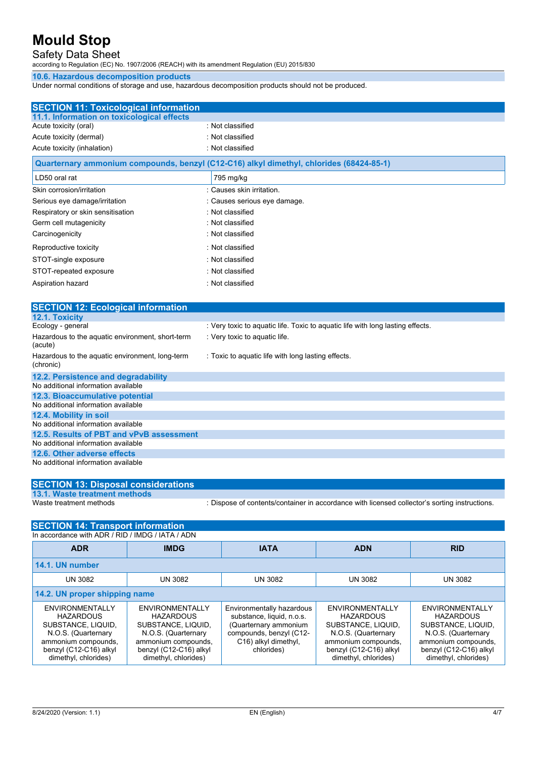## Safety Data Sheet

according to Regulation (EC) No. 1907/2006 (REACH) with its amendment Regulation (EU) 2015/830

#### **10.6. Hazardous decomposition products**

Under normal conditions of storage and use, hazardous decomposition products should not be produced.

| <b>SECTION 11: Toxicological information</b>                  |                                                                                         |
|---------------------------------------------------------------|-----------------------------------------------------------------------------------------|
| 11.1. Information on toxicological effects                    |                                                                                         |
| Acute toxicity (oral)                                         | : Not classified                                                                        |
| Acute toxicity (dermal)                                       | : Not classified                                                                        |
| Acute toxicity (inhalation)                                   | : Not classified                                                                        |
|                                                               | Quarternary ammonium compounds, benzyl (C12-C16) alkyl dimethyl, chlorides (68424-85-1) |
| LD50 oral rat                                                 | 795 mg/kg                                                                               |
| Skin corrosion/irritation                                     | : Causes skin irritation.                                                               |
| Serious eye damage/irritation                                 | : Causes serious eye damage.                                                            |
| Respiratory or skin sensitisation                             | : Not classified                                                                        |
| Germ cell mutagenicity                                        | : Not classified                                                                        |
| Carcinogenicity                                               | : Not classified                                                                        |
| Reproductive toxicity                                         | : Not classified                                                                        |
| STOT-single exposure                                          | : Not classified                                                                        |
| STOT-repeated exposure                                        | : Not classified                                                                        |
| Aspiration hazard                                             | · Not classified                                                                        |
|                                                               |                                                                                         |
| <b>SECTION 12: Ecological information</b>                     |                                                                                         |
| 12.1. Toxicity                                                |                                                                                         |
| Ecology - general                                             | : Very toxic to aquatic life. Toxic to aquatic life with long lasting effects.          |
| Hazardous to the aquatic environment, short-term<br>(acute)   | : Very toxic to aquatic life.                                                           |
| Hazardous to the aquatic environment, long-term<br>(chronic)  | : Toxic to aquatic life with long lasting effects.                                      |
| 12.2. Persistence and degradability                           |                                                                                         |
| No additional information available                           |                                                                                         |
| 12.3. Bioaccumulative potential                               |                                                                                         |
| No additional information available                           |                                                                                         |
| 12.4. Mobility in soil<br>No additional information available |                                                                                         |
| 12.5. Results of PBT and vPvB assessment                      |                                                                                         |
| No additional information available                           |                                                                                         |
| 12.6. Other adverse effects                                   |                                                                                         |
| No additional information available                           |                                                                                         |
|                                                               |                                                                                         |

| <b>SECTION 13: Disposal considerations</b> |                                                                                               |
|--------------------------------------------|-----------------------------------------------------------------------------------------------|
| 13.1. Waste treatment methods              |                                                                                               |
| Waste treatment methods                    | : Dispose of contents/container in accordance with licensed collector's sorting instructions. |

| <b>SECTION 14: Transport information</b>                                                                                                                  |                                                                                                                                                           |                                                                                                                                                  |                                                                                                                                                           |                                                                                                                                                           |  |
|-----------------------------------------------------------------------------------------------------------------------------------------------------------|-----------------------------------------------------------------------------------------------------------------------------------------------------------|--------------------------------------------------------------------------------------------------------------------------------------------------|-----------------------------------------------------------------------------------------------------------------------------------------------------------|-----------------------------------------------------------------------------------------------------------------------------------------------------------|--|
| In accordance with ADR / RID / IMDG / IATA / ADN                                                                                                          |                                                                                                                                                           |                                                                                                                                                  |                                                                                                                                                           |                                                                                                                                                           |  |
| <b>ADR</b>                                                                                                                                                | <b>IMDG</b>                                                                                                                                               | <b>IATA</b>                                                                                                                                      | <b>ADN</b>                                                                                                                                                | <b>RID</b>                                                                                                                                                |  |
| 14.1. UN number                                                                                                                                           |                                                                                                                                                           |                                                                                                                                                  |                                                                                                                                                           |                                                                                                                                                           |  |
| <b>UN 3082</b>                                                                                                                                            | <b>UN 3082</b>                                                                                                                                            | <b>UN 3082</b>                                                                                                                                   | <b>UN 3082</b>                                                                                                                                            | <b>UN 3082</b>                                                                                                                                            |  |
| 14.2. UN proper shipping name                                                                                                                             |                                                                                                                                                           |                                                                                                                                                  |                                                                                                                                                           |                                                                                                                                                           |  |
| ENVIRONMENTALLY<br><b>HAZARDOUS</b><br>SUBSTANCE, LIQUID,<br>N.O.S. (Quarternary<br>ammonium compounds,<br>benzyl (C12-C16) alkyl<br>dimethyl, chlorides) | ENVIRONMENTALLY<br><b>HAZARDOUS</b><br>SUBSTANCE, LIQUID,<br>N.O.S. (Quarternary<br>ammonium compounds,<br>benzyl (C12-C16) alkyl<br>dimethyl, chlorides) | Environmentally hazardous<br>substance, liquid, n.o.s.<br>(Quarternary ammonium<br>compounds, benzyl (C12-<br>C16) alkyl dimethyl,<br>chlorides) | ENVIRONMENTALLY<br><b>HAZARDOUS</b><br>SUBSTANCE, LIQUID,<br>N.O.S. (Quarternary<br>ammonium compounds,<br>benzyl (C12-C16) alkyl<br>dimethyl, chlorides) | ENVIRONMENTALLY<br><b>HAZARDOUS</b><br>SUBSTANCE, LIQUID,<br>N.O.S. (Quarternary<br>ammonium compounds,<br>benzyl (C12-C16) alkyl<br>dimethyl, chlorides) |  |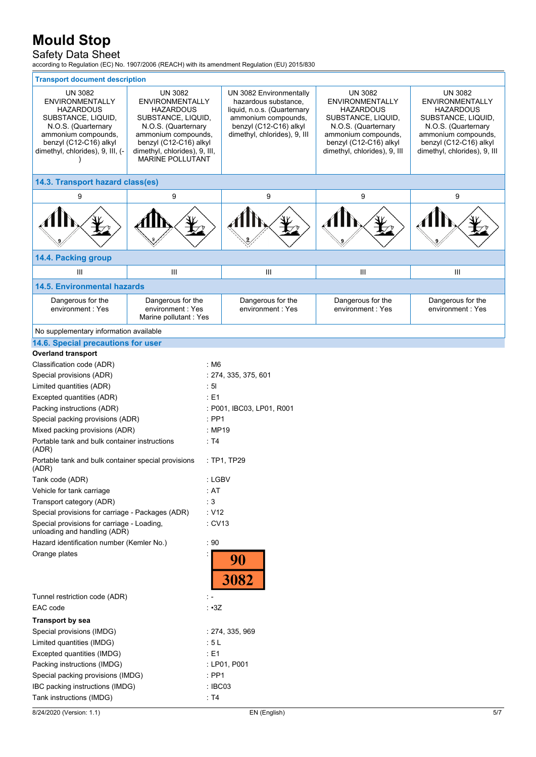## Safety Data Sheet

according to Regulation (EC) No. 1907/2006 (REACH) with its amendment Regulation (EU) 2015/830

| <b>Transport document description</b>                                                                                                                                                          |                                                                                                                                                                                                                        |                    |                                                                                                                                                                 |                                                                                                                                                                                            |                                                                                                                                                                              |  |
|------------------------------------------------------------------------------------------------------------------------------------------------------------------------------------------------|------------------------------------------------------------------------------------------------------------------------------------------------------------------------------------------------------------------------|--------------------|-----------------------------------------------------------------------------------------------------------------------------------------------------------------|--------------------------------------------------------------------------------------------------------------------------------------------------------------------------------------------|------------------------------------------------------------------------------------------------------------------------------------------------------------------------------|--|
| <b>UN 3082</b><br><b>ENVIRONMENTALLY</b><br><b>HAZARDOUS</b><br>SUBSTANCE, LIQUID,<br>N.O.S. (Quarternary<br>ammonium compounds,<br>benzyl (C12-C16) alkyl<br>dimethyl, chlorides), 9, III, (- | <b>UN 3082</b><br><b>ENVIRONMENTALLY</b><br><b>HAZARDOUS</b><br>SUBSTANCE, LIQUID,<br>N.O.S. (Quarternary<br>ammonium compounds,<br>benzyl (C12-C16) alkyl<br>dimethyl, chlorides), 9, III,<br><b>MARINE POLLUTANT</b> |                    | UN 3082 Environmentally<br>hazardous substance,<br>liquid, n.o.s. (Quarternary<br>ammonium compounds,<br>benzyl (C12-C16) alkyl<br>dimethyl, chlorides), 9, III | <b>UN 3082</b><br><b>ENVIRONMENTALLY</b><br><b>HAZARDOUS</b><br>SUBSTANCE, LIQUID,<br>N.O.S. (Quarternary<br>ammonium compounds,<br>benzyl (C12-C16) alkyl<br>dimethyl, chlorides), 9, III | <b>UN 3082</b><br>ENVIRONMENTALLY<br>HAZARDOUS<br>SUBSTANCE, LIQUID,<br>N.O.S. (Quarternary<br>ammonium compounds,<br>benzyl (C12-C16) alkyl<br>dimethyl, chlorides), 9, III |  |
| 14.3. Transport hazard class(es)                                                                                                                                                               |                                                                                                                                                                                                                        |                    |                                                                                                                                                                 |                                                                                                                                                                                            |                                                                                                                                                                              |  |
| 9                                                                                                                                                                                              | 9                                                                                                                                                                                                                      |                    | 9                                                                                                                                                               | 9                                                                                                                                                                                          | 9                                                                                                                                                                            |  |
|                                                                                                                                                                                                |                                                                                                                                                                                                                        |                    |                                                                                                                                                                 |                                                                                                                                                                                            |                                                                                                                                                                              |  |
| 14.4. Packing group                                                                                                                                                                            |                                                                                                                                                                                                                        |                    |                                                                                                                                                                 |                                                                                                                                                                                            |                                                                                                                                                                              |  |
| Ш                                                                                                                                                                                              | $\mathbf{III}$                                                                                                                                                                                                         |                    | Ш                                                                                                                                                               | Ш                                                                                                                                                                                          | III                                                                                                                                                                          |  |
| <b>14.5. Environmental hazards</b>                                                                                                                                                             |                                                                                                                                                                                                                        |                    |                                                                                                                                                                 |                                                                                                                                                                                            |                                                                                                                                                                              |  |
| Dangerous for the<br>environment: Yes                                                                                                                                                          | Dangerous for the<br>environment: Yes<br>Marine pollutant : Yes                                                                                                                                                        |                    | Dangerous for the<br>environment: Yes                                                                                                                           | Dangerous for the<br>environment: Yes                                                                                                                                                      | Dangerous for the<br>environment: Yes                                                                                                                                        |  |
| No supplementary information available                                                                                                                                                         |                                                                                                                                                                                                                        |                    |                                                                                                                                                                 |                                                                                                                                                                                            |                                                                                                                                                                              |  |
| 14.6. Special precautions for user                                                                                                                                                             |                                                                                                                                                                                                                        |                    |                                                                                                                                                                 |                                                                                                                                                                                            |                                                                                                                                                                              |  |
| <b>Overland transport</b>                                                                                                                                                                      |                                                                                                                                                                                                                        |                    |                                                                                                                                                                 |                                                                                                                                                                                            |                                                                                                                                                                              |  |
| Classification code (ADR)                                                                                                                                                                      |                                                                                                                                                                                                                        | : M6               |                                                                                                                                                                 |                                                                                                                                                                                            |                                                                                                                                                                              |  |
| Special provisions (ADR)                                                                                                                                                                       |                                                                                                                                                                                                                        |                    | : 274, 335, 375, 601                                                                                                                                            |                                                                                                                                                                                            |                                                                                                                                                                              |  |
| Limited quantities (ADR)                                                                                                                                                                       |                                                                                                                                                                                                                        | $\cdot$ 51         |                                                                                                                                                                 |                                                                                                                                                                                            |                                                                                                                                                                              |  |
| Excepted quantities (ADR)                                                                                                                                                                      |                                                                                                                                                                                                                        | : E1               |                                                                                                                                                                 |                                                                                                                                                                                            |                                                                                                                                                                              |  |
| Packing instructions (ADR)                                                                                                                                                                     |                                                                                                                                                                                                                        |                    | : P001, IBC03, LP01, R001                                                                                                                                       |                                                                                                                                                                                            |                                                                                                                                                                              |  |
| Special packing provisions (ADR)                                                                                                                                                               |                                                                                                                                                                                                                        | $\therefore$ PP1   |                                                                                                                                                                 |                                                                                                                                                                                            |                                                                                                                                                                              |  |
| Mixed packing provisions (ADR)                                                                                                                                                                 |                                                                                                                                                                                                                        | : MP19             |                                                                                                                                                                 |                                                                                                                                                                                            |                                                                                                                                                                              |  |
| Portable tank and bulk container instructions<br>(ADR)                                                                                                                                         |                                                                                                                                                                                                                        | : T4               |                                                                                                                                                                 |                                                                                                                                                                                            |                                                                                                                                                                              |  |
| Portable tank and bulk container special provisions<br>(ADR)                                                                                                                                   |                                                                                                                                                                                                                        |                    | $:$ TP1, TP29                                                                                                                                                   |                                                                                                                                                                                            |                                                                                                                                                                              |  |
| Tank code (ADR)                                                                                                                                                                                |                                                                                                                                                                                                                        | : LGBV             |                                                                                                                                                                 |                                                                                                                                                                                            |                                                                                                                                                                              |  |
| Vehicle for tank carriage                                                                                                                                                                      |                                                                                                                                                                                                                        | : AT               |                                                                                                                                                                 |                                                                                                                                                                                            |                                                                                                                                                                              |  |
| Transport category (ADR)                                                                                                                                                                       |                                                                                                                                                                                                                        | : $3$              |                                                                                                                                                                 |                                                                                                                                                                                            |                                                                                                                                                                              |  |
| Special provisions for carriage - Packages (ADR)                                                                                                                                               |                                                                                                                                                                                                                        | : V12              |                                                                                                                                                                 |                                                                                                                                                                                            |                                                                                                                                                                              |  |
| Special provisions for carriage - Loading,<br>unloading and handling (ADR)                                                                                                                     |                                                                                                                                                                                                                        | : CV13             |                                                                                                                                                                 |                                                                                                                                                                                            |                                                                                                                                                                              |  |
| Hazard identification number (Kemler No.)                                                                                                                                                      |                                                                                                                                                                                                                        | $\cdot$ 90         |                                                                                                                                                                 |                                                                                                                                                                                            |                                                                                                                                                                              |  |
| Orange plates                                                                                                                                                                                  |                                                                                                                                                                                                                        |                    | 90<br>3082                                                                                                                                                      |                                                                                                                                                                                            |                                                                                                                                                                              |  |
| Tunnel restriction code (ADR)<br>÷ -                                                                                                                                                           |                                                                                                                                                                                                                        |                    |                                                                                                                                                                 |                                                                                                                                                                                            |                                                                                                                                                                              |  |
| EAC code                                                                                                                                                                                       |                                                                                                                                                                                                                        | $\cdot$ $\cdot$ 3Z |                                                                                                                                                                 |                                                                                                                                                                                            |                                                                                                                                                                              |  |
| <b>Transport by sea</b>                                                                                                                                                                        |                                                                                                                                                                                                                        |                    |                                                                                                                                                                 |                                                                                                                                                                                            |                                                                                                                                                                              |  |
| Special provisions (IMDG)                                                                                                                                                                      |                                                                                                                                                                                                                        | : 274, 335, 969    |                                                                                                                                                                 |                                                                                                                                                                                            |                                                                                                                                                                              |  |
| Limited quantities (IMDG)                                                                                                                                                                      |                                                                                                                                                                                                                        | :5L                |                                                                                                                                                                 |                                                                                                                                                                                            |                                                                                                                                                                              |  |
| Excepted quantities (IMDG)                                                                                                                                                                     |                                                                                                                                                                                                                        | : E1               |                                                                                                                                                                 |                                                                                                                                                                                            |                                                                                                                                                                              |  |
| Packing instructions (IMDG)                                                                                                                                                                    |                                                                                                                                                                                                                        |                    | : LP01, P001                                                                                                                                                    |                                                                                                                                                                                            |                                                                                                                                                                              |  |
| Special packing provisions (IMDG)                                                                                                                                                              |                                                                                                                                                                                                                        |                    | $:$ PP1                                                                                                                                                         |                                                                                                                                                                                            |                                                                                                                                                                              |  |
| IBC packing instructions (IMDG)                                                                                                                                                                |                                                                                                                                                                                                                        |                    | : IBC03                                                                                                                                                         |                                                                                                                                                                                            |                                                                                                                                                                              |  |
| Tank instructions (IMDG)                                                                                                                                                                       |                                                                                                                                                                                                                        | $\cdot$ T4         |                                                                                                                                                                 |                                                                                                                                                                                            |                                                                                                                                                                              |  |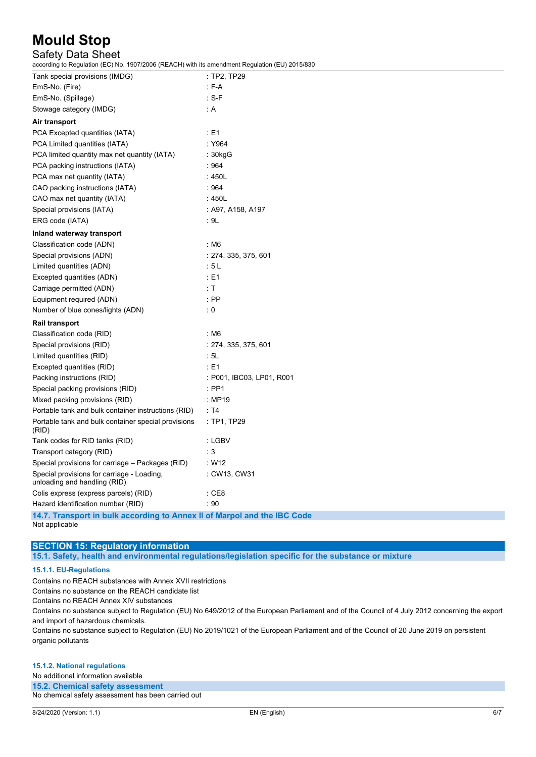## Safety Data Sheet

according to Regulation (EC) No. 1907/2006 (REACH) with its amendment Regulation (EU) 2015/830

| Tank special provisions (IMDG)                                             | $:$ TP2, TP29             |
|----------------------------------------------------------------------------|---------------------------|
| EmS-No. (Fire)                                                             | : F-A                     |
| EmS-No. (Spillage)                                                         | $: S-F$                   |
| Stowage category (IMDG)                                                    | : A                       |
| Air transport                                                              |                           |
| PCA Excepted quantities (IATA)                                             | : E1                      |
| PCA Limited quantities (IATA)                                              | : Y964                    |
| PCA limited quantity max net quantity (IATA)                               | : 30kgG                   |
| PCA packing instructions (IATA)                                            | :964                      |
| PCA max net quantity (IATA)                                                | : 450L                    |
| CAO packing instructions (IATA)                                            | :964                      |
| CAO max net quantity (IATA)                                                | :450L                     |
| Special provisions (IATA)                                                  | : A97, A158, A197         |
| ERG code (IATA)                                                            | : 9L                      |
| Inland waterway transport                                                  |                           |
| Classification code (ADN)                                                  | : M6                      |
| Special provisions (ADN)                                                   | : 274, 335, 375, 601      |
| Limited quantities (ADN)                                                   | :5L                       |
| Excepted quantities (ADN)                                                  | : E1                      |
| Carriage permitted (ADN)                                                   | : T                       |
| Equipment required (ADN)                                                   | $:$ PP                    |
| Number of blue cones/lights (ADN)                                          | $\therefore$ 0            |
| Rail transport                                                             |                           |
| Classification code (RID)                                                  | : M6                      |
| Special provisions (RID)                                                   | : 274, 335, 375, 601      |
| Limited quantities (RID)                                                   | : 5L                      |
| Excepted quantities (RID)                                                  | : E1                      |
| Packing instructions (RID)                                                 | : P001, IBC03, LP01, R001 |
| Special packing provisions (RID)                                           | $\therefore$ PP1          |
| Mixed packing provisions (RID)                                             | :MP19                     |
| Portable tank and bulk container instructions (RID)                        | : T4                      |
| Portable tank and bulk container special provisions<br>(RID)               | $:$ TP1, TP29             |
| Tank codes for RID tanks (RID)                                             | : LGBV                    |
| Transport category (RID)                                                   | : 3                       |
| Special provisions for carriage - Packages (RID)                           | W12                       |
| Special provisions for carriage - Loading,<br>unloading and handling (RID) | : CW13, CW31              |
| Colis express (express parcels) (RID)                                      | $\therefore$ CE8          |
| Hazard identification number (RID)                                         | : 90                      |
| 14.7 Transport in bulk according to Annex II of Marpol and the IBC Code    |                           |

**14.7. Transport in bulk according to Annex II of Marpol and the IBC Code** Not applicable

### **SECTION 15: Regulatory information 15.1. Safety, health and environmental regulations/legislation specific for the substance or mixture**

### **15.1.1. EU-Regulations**

Contains no REACH substances with Annex XVII restrictions

Contains no substance on the REACH candidate list

Contains no REACH Annex XIV substances

Contains no substance subject to Regulation (EU) No 649/2012 of the European Parliament and of the Council of 4 July 2012 concerning the export and import of hazardous chemicals.

Contains no substance subject to Regulation (EU) No 2019/1021 of the European Parliament and of the Council of 20 June 2019 on persistent organic pollutants

#### **15.1.2. National regulations**

No additional information available

**15.2. Chemical safety assessment** No chemical safety assessment has been carried out